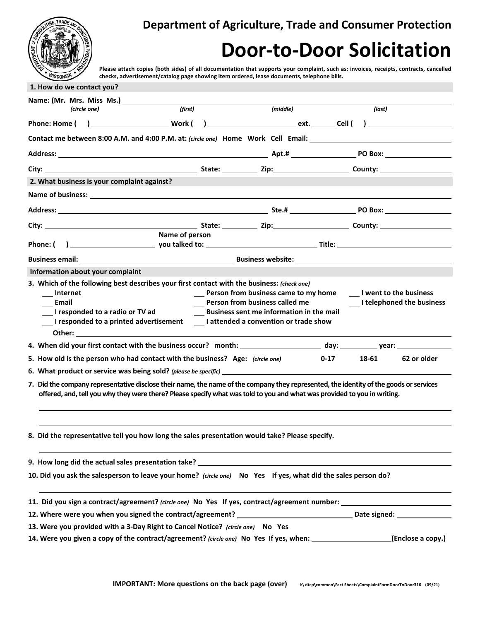## **TRAD**

## **Department of Agriculture, Trade and Consumer Protection**

## **Door-to-Door Solicitation**

**Please attach copies (both sides) of all documentation that supports your complaint, such as: invoices, receipts, contracts, cancelled checks, advertisement/catalog page showing item ordered, lease documents, telephone bills.**

| 1. How do we contact you?                                                                                                                                                                                                                                          |                                                                             |                                          |                 |             |
|--------------------------------------------------------------------------------------------------------------------------------------------------------------------------------------------------------------------------------------------------------------------|-----------------------------------------------------------------------------|------------------------------------------|-----------------|-------------|
| Name: (Mr. Mrs. Miss Ms.)                                                                                                                                                                                                                                          |                                                                             |                                          |                 |             |
| (circle one)                                                                                                                                                                                                                                                       | (first)                                                                     | (middle)                                 | (last)          |             |
| Phone: Home (                                                                                                                                                                                                                                                      |                                                                             |                                          |                 |             |
| Contact me between 8:00 A.M. and 4:00 P.M. at: (circle one) Home Work Cell Email:                                                                                                                                                                                  |                                                                             |                                          |                 |             |
|                                                                                                                                                                                                                                                                    |                                                                             |                                          |                 |             |
|                                                                                                                                                                                                                                                                    |                                                                             |                                          |                 |             |
| 2. What business is your complaint against?                                                                                                                                                                                                                        |                                                                             |                                          |                 |             |
|                                                                                                                                                                                                                                                                    |                                                                             |                                          |                 |             |
|                                                                                                                                                                                                                                                                    |                                                                             |                                          |                 |             |
|                                                                                                                                                                                                                                                                    |                                                                             |                                          |                 |             |
|                                                                                                                                                                                                                                                                    | Name of person                                                              |                                          |                 |             |
| Phone: (                                                                                                                                                                                                                                                           |                                                                             |                                          |                 |             |
| Business email: No. 2014 19:30 No. 2014 19:30 No. 2014 19:30:30 No. 2014 19:30:30 No. 2014 19:30:30 No. 2014 1                                                                                                                                                     |                                                                             |                                          |                 |             |
| Information about your complaint                                                                                                                                                                                                                                   |                                                                             |                                          |                 |             |
| I responded to a radio or TV ad                                                                                                                                                                                                                                    | I responded to a printed advertisement Lattended a convention or trade show | Business sent me information in the mail |                 |             |
|                                                                                                                                                                                                                                                                    |                                                                             |                                          |                 |             |
| 5. How old is the person who had contact with the business? Age: (circle one)                                                                                                                                                                                      |                                                                             |                                          | 18-61<br>$0-17$ | 62 or older |
| 6. What product or service was being sold? (please be specific)                                                                                                                                                                                                    |                                                                             |                                          |                 |             |
| 7. Did the company representative disclose their name, the name of the company they represented, the identity of the goods or services<br>offered, and, tell you why they were there? Please specify what was told to you and what was provided to you in writing. |                                                                             |                                          |                 |             |
| 8. Did the representative tell you how long the sales presentation would take? Please specify.                                                                                                                                                                     |                                                                             |                                          |                 |             |
|                                                                                                                                                                                                                                                                    |                                                                             |                                          |                 |             |
| 10. Did you ask the salesperson to leave your home? (circle one) No Yes If yes, what did the sales person do?                                                                                                                                                      |                                                                             |                                          |                 |             |
|                                                                                                                                                                                                                                                                    |                                                                             |                                          |                 |             |
|                                                                                                                                                                                                                                                                    |                                                                             |                                          |                 |             |
| 13. Were you provided with a 3-Day Right to Cancel Notice? (circle one) No Yes                                                                                                                                                                                     |                                                                             |                                          |                 |             |
| 14. Were you given a copy of the contract/agreement? (circle one) No Yes If yes, when: __________________(Enclose a copy.)                                                                                                                                         |                                                                             |                                          |                 |             |